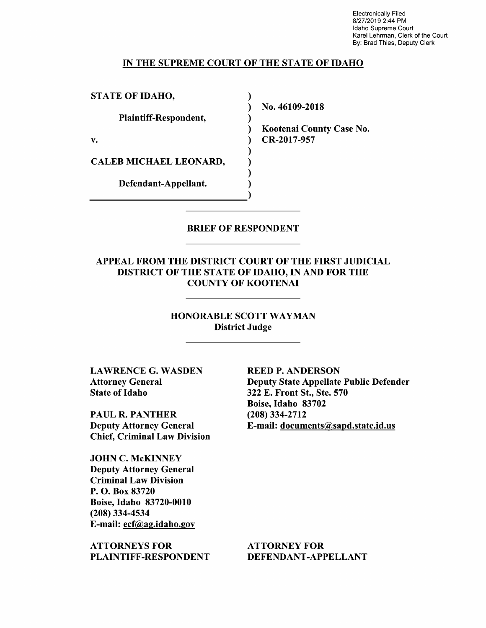Electronically Filed 8/27/2019 2:44 PM Idaho Supreme Court Karel Lehrman, Clerk of the Court By: Brad Thies, Deputy Clerk

## IN THE SUPREME COURT OF THE STATE OF IDAHO

)

)

) ) )

STATE OF IDAHO,

Plaintiff-Respondent,

v.

CALEB MICHAEL LEONARD,

Defendant-Appellant. (1)

) No. 46109-2018

) Kootenai County Case No. ) CR-2017-957

## BRIEF OF RESPONDENT

APPEAL FROM THE DISTRICT COURT OF THE FIRST JUDICIAL DISTRICT OF THE STATE OF IDAHO, IN AND FOR THE COUNTY OF KOOTENAI

> HONORABLE SCOTT WAYMAN District Judge

LAWRENCE G. WASDEN Attorney General State of Idaho

PAUL R. PANTHER Deputy Attorney General Chief, Criminal Law Division

JOHN C. McKINNEY Deputy Attorney General Criminal Law Division P. 0. Box 83720 Boise, Idaho 83720-0010 (208) 334-4534 E-mail: ecf@ag.idaho.gov

ATTORNEYS FOR PLAINTIFF-RESPONDENT **REED P. ANDERSON**  Deputy State Appellate Public Defender 322 E. Front St., Ste. 570 Boise, Idaho 83702 (208) 334-2712 E-mail: documents@sapd.state.id.us

ATTORNEY FOR DEFENDANT-APPELLANT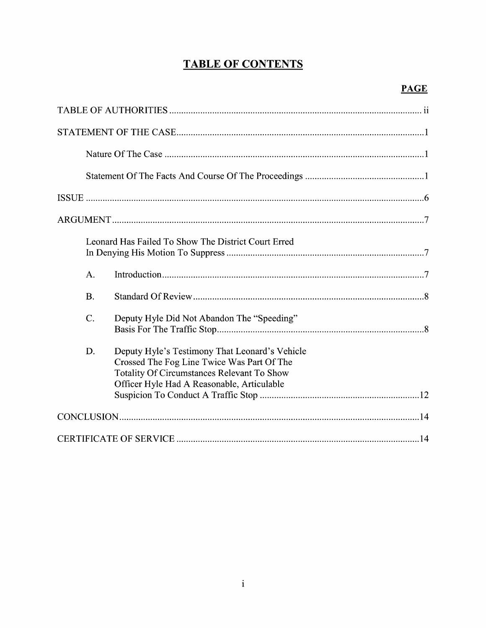# **TABLE OF CONTENTS**

|  | Leonard Has Failed To Show The District Court Erred |                                                                                                                                                                                                 |
|--|-----------------------------------------------------|-------------------------------------------------------------------------------------------------------------------------------------------------------------------------------------------------|
|  | $A$ .                                               |                                                                                                                                                                                                 |
|  | <b>B.</b>                                           |                                                                                                                                                                                                 |
|  | $\mathcal{C}$ .                                     | Deputy Hyle Did Not Abandon The "Speeding"                                                                                                                                                      |
|  | D.                                                  | Deputy Hyle's Testimony That Leonard's Vehicle<br>Crossed The Fog Line Twice Was Part Of The<br><b>Totality Of Circumstances Relevant To Show</b><br>Officer Hyle Had A Reasonable, Articulable |
|  |                                                     |                                                                                                                                                                                                 |
|  |                                                     |                                                                                                                                                                                                 |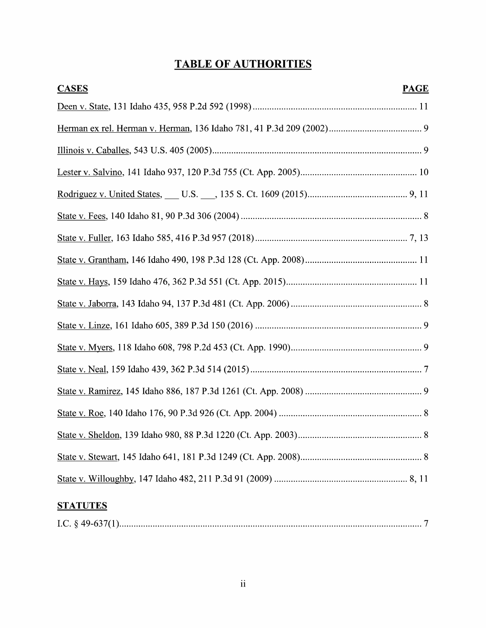# **TABLE OF AUTHORITIES**

| <b>CASES</b><br><b>PAGE</b> |  |
|-----------------------------|--|
|                             |  |
|                             |  |
|                             |  |
|                             |  |
|                             |  |
|                             |  |
|                             |  |
|                             |  |
|                             |  |
|                             |  |
|                             |  |
|                             |  |
|                             |  |
|                             |  |
|                             |  |
|                             |  |
|                             |  |
|                             |  |
| <b>STATUTES</b>             |  |

|--|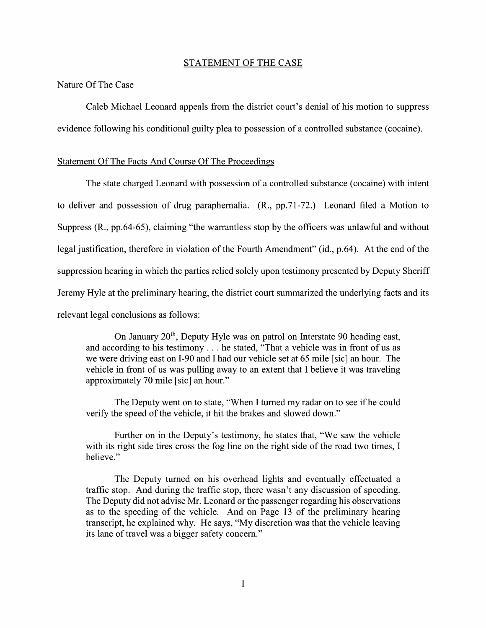#### STATEMENT OF THE CASE

## Nature Of The Case

Caleb Michael Leonard appeals from the district court's denial of his motion to suppress evidence following his conditional guilty plea to possession of a controlled substance (cocaine).

### Statement Of The Facts And Course Of The Proceedings

The state charged Leonard with possession of a controlled substance (cocaine) with intent to deliver and possession of drug paraphernalia. (R., pp.71-72.) Leonard filed a Motion to Suppress (R., pp.64-65), claiming "the warrantless stop by the officers was unlawful and without legal justification, therefore in violation of the Fourth Amendment" (id., p.64). At the end of the suppression hearing in which the parties relied solely upon testimony presented by Deputy Sheriff Jeremy Hyle at the preliminary hearing, the district court summarized the underlying facts and its relevant legal conclusions as follows:

On January 20<sup>th</sup>, Deputy Hyle was on patrol on Interstate 90 heading east, and according to his testimony ... he stated, "That a vehicle was in front of us as we were driving east on 1-90 and I had our vehicle set at 65 mile [sic] an hour. The vehicle in front of us was pulling away to an extent that I believe it was traveling approximately 70 mile [sic] an hour."

The Deputy went on to state, "When I turned my radar on to see if he could verify the speed of the vehicle, it hit the brakes and slowed down."

Further on in the Deputy's testimony, he states that, "We saw the vehicle with its right side tires cross the fog line on the right side of the road two times, I believe."

The Deputy turned on his overhead lights and eventually effectuated a traffic stop. And during the traffic stop, there wasn't any discussion of speeding. The Deputy did not advise Mr. Leonard or the passenger regarding his observations as to the speeding of the vehicle. And on Page 13 of the preliminary hearing transcript, he explained why. He says, "My discretion was that the vehicle leaving its lane of travel was a bigger safety concern."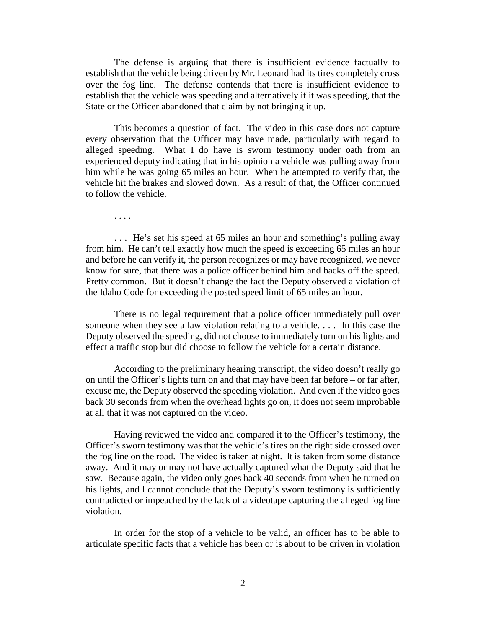The defense is arguing that there is insufficient evidence factually to establish that the vehicle being driven by Mr. Leonard had its tires completely cross over the fog line. The defense contends that there is insufficient evidence to establish that the vehicle was speeding and alternatively if it was speeding, that the State or the Officer abandoned that claim by not bringing it up.

This becomes a question of fact. The video in this case does not capture every observation that the Officer may have made, particularly with regard to alleged speeding. What I do have is sworn testimony under oath from an experienced deputy indicating that in his opinion a vehicle was pulling away from him while he was going 65 miles an hour. When he attempted to verify that, the vehicle hit the brakes and slowed down. As a result of that, the Officer continued to follow the vehicle.

. . . .

. . . He's set his speed at 65 miles an hour and something's pulling away from him. He can't tell exactly how much the speed is exceeding 65 miles an hour and before he can verify it, the person recognizes or may have recognized, we never know for sure, that there was a police officer behind him and backs off the speed. Pretty common. But it doesn't change the fact the Deputy observed a violation of the Idaho Code for exceeding the posted speed limit of 65 miles an hour.

There is no legal requirement that a police officer immediately pull over someone when they see a law violation relating to a vehicle. . . . In this case the Deputy observed the speeding, did not choose to immediately turn on his lights and effect a traffic stop but did choose to follow the vehicle for a certain distance.

According to the preliminary hearing transcript, the video doesn't really go on until the Officer's lights turn on and that may have been far before – or far after, excuse me, the Deputy observed the speeding violation. And even if the video goes back 30 seconds from when the overhead lights go on, it does not seem improbable at all that it was not captured on the video.

Having reviewed the video and compared it to the Officer's testimony, the Officer's sworn testimony was that the vehicle's tires on the right side crossed over the fog line on the road. The video is taken at night. It is taken from some distance away. And it may or may not have actually captured what the Deputy said that he saw. Because again, the video only goes back 40 seconds from when he turned on his lights, and I cannot conclude that the Deputy's sworn testimony is sufficiently contradicted or impeached by the lack of a videotape capturing the alleged fog line violation.

In order for the stop of a vehicle to be valid, an officer has to be able to articulate specific facts that a vehicle has been or is about to be driven in violation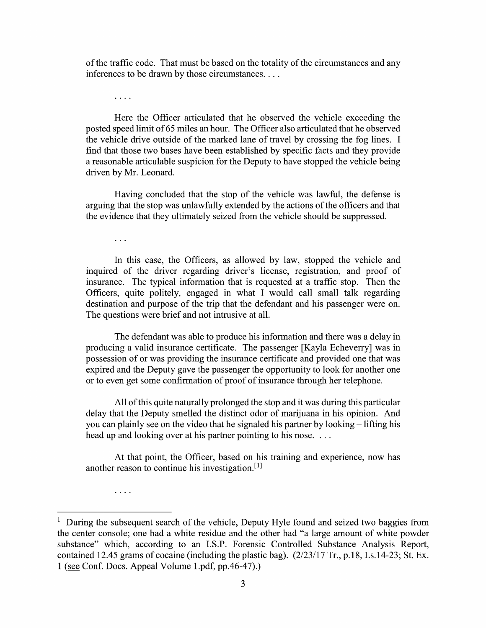0f the traffic code. That must be based on the totality of the circumstances and any inferences t0 be drawn by those circumstances. . . .

 $\ldots$  .

Here the Officer articulated that he observed the vehicle exceeding the posted speed limit 0f 65 miles an hour. The Officer also articulated that he observed the vehicle drive outside of the marked lane of travel by crossing the fog lines. I find that those two bases have been established by specific facts and they provide a reasonable articulable suspicion for the Deputy to have stopped the vehicle being driven by Mr. Leonard.

Having concluded that the stop of the vehicle was lawful, the defense is arguing that the stop was unlawfully extended by the actions of the officers and that the evidence that they ultimately seized from the vehicle should be suppressed.

 $\ddots$ 

 $\ldots$  .

In this case, the Officers, as allowed by law, stopped the vehicle and inquired of the driver regarding driver's license, registration, and proof 0f insurance. The typical information that is requested at a traffic stop. Then the Officers, quite politely, engaged in what I would call small talk regarding destination and purpose of the trip that the defendant and his passenger were on. The questions were brief and not intrusive at all.

The defendant was able to produce his information and there was a delay in producing a valid insurance certificate. The passenger [Kayla Echeverry] was in possession of or was providing the insurance certificate and provided one that was expired and the Deputy gave the passenger the opportunity to look for another one 0r t0 even get some confirmation 0f proof 0f insurance through her telephone.

All of this quite naturally prolonged the stop and it was during this particular delay that the Deputy smelled the distinct odor 0f marijuana in his opinion. And you can plainly see on the video that he signaled his partner by looking  $-$  lifting his head up and looking over at his partner pointing to his nose.  $\dots$ 

At that point, the Officer, based 0n his training and experience, now has another reason to continue his investigation. $[1]$ 

 $1$  During the subsequent search of the vehicle, Deputy Hyle found and seized two baggies from the center console; one had a white residue and the other had "a large amount of white powder substance" which, according to an I.S.P. Forensic Controlled Substance Analysis Report, contained 12.45 grams of cocaine (including the plastic bag). (2/23/17 Tr., p.18, Ls.14-23; St. Ex.  $1$  (see Conf. Docs. Appeal Volume 1.pdf, pp.46-47).)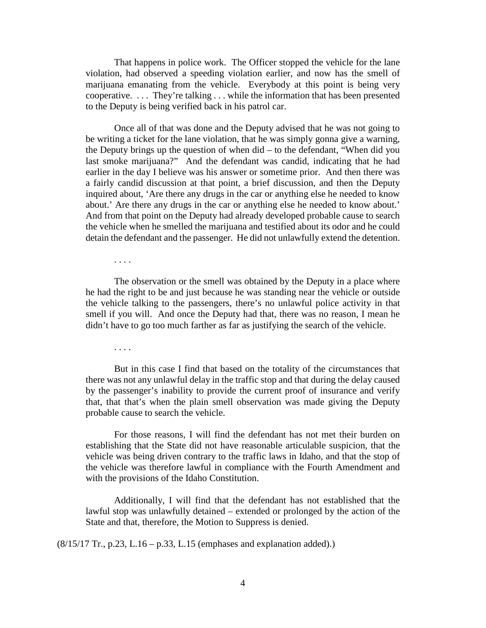That happens in police work. The Officer stopped the vehicle for the lane violation, had observed a speeding violation earlier, and now has the smell of marijuana emanating from the vehicle. Everybody at this point is being very cooperative. . . . They're talking . . . while the information that has been presented to the Deputy is being verified back in his patrol car.

Once all of that was done and the Deputy advised that he was not going to be writing a ticket for the lane violation, that he was simply gonna give a warning, the Deputy brings up the question of when did – to the defendant, "When did you last smoke marijuana?" And the defendant was candid, indicating that he had earlier in the day I believe was his answer or sometime prior. And then there was a fairly candid discussion at that point, a brief discussion, and then the Deputy inquired about, 'Are there any drugs in the car or anything else he needed to know about.' Are there any drugs in the car or anything else he needed to know about.' And from that point on the Deputy had already developed probable cause to search the vehicle when he smelled the marijuana and testified about its odor and he could detain the defendant and the passenger. He did not unlawfully extend the detention.

The observation or the smell was obtained by the Deputy in a place where he had the right to be and just because he was standing near the vehicle or outside the vehicle talking to the passengers, there's no unlawful police activity in that smell if you will. And once the Deputy had that, there was no reason, I mean he didn't have to go too much farther as far as justifying the search of the vehicle.

. . . .

. . . .

But in this case I find that based on the totality of the circumstances that there was not any unlawful delay in the traffic stop and that during the delay caused by the passenger's inability to provide the current proof of insurance and verify that, that that's when the plain smell observation was made giving the Deputy probable cause to search the vehicle.

For those reasons, I will find the defendant has not met their burden on establishing that the State did not have reasonable articulable suspicion, that the vehicle was being driven contrary to the traffic laws in Idaho, and that the stop of the vehicle was therefore lawful in compliance with the Fourth Amendment and with the provisions of the Idaho Constitution.

Additionally, I will find that the defendant has not established that the lawful stop was unlawfully detained – extended or prolonged by the action of the State and that, therefore, the Motion to Suppress is denied.

(8/15/17 Tr., p.23, L.16 – p.33, L.15 (emphases and explanation added).)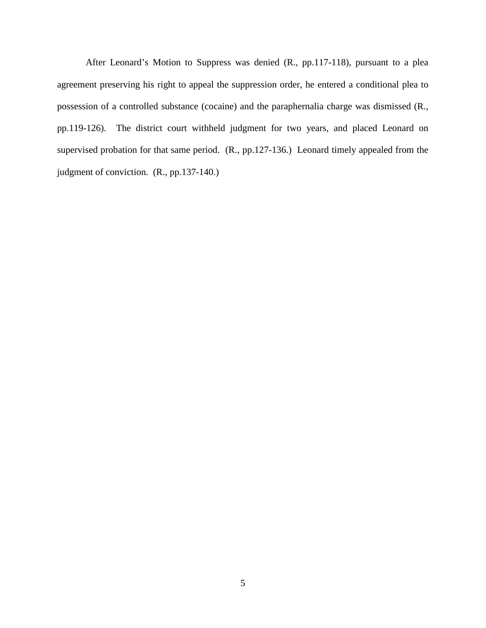After Leonard's Motion to Suppress was denied (R., pp.117-118), pursuant to a plea agreement preserving his right to appeal the suppression order, he entered a conditional plea to possession of a controlled substance (cocaine) and the paraphernalia charge was dismissed (R., pp.119-126). The district court withheld judgment for two years, and placed Leonard on supervised probation for that same period. (R., pp.127-136.) Leonard timely appealed from the judgment of conviction. (R., pp.137-140.)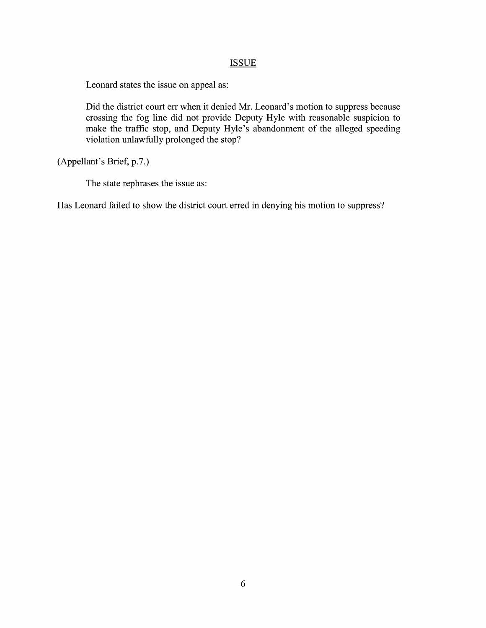## **ISSUE**

Leonard states the issue on appeal as:

Did the district court err when it denied Mr. Leonard's motion to suppress because crossing the fog line did not provide Deputy Hyle With reasonable suspicion to make the traffic stop, and Deputy Hyle's abandonment of the alleged speeding violation unlawfully prolonged the stop?

(Appellant's Brief, p.7.)

The state rephrases the issue as:

Has Leonard failed to show the district court erred in denying his motion to suppress?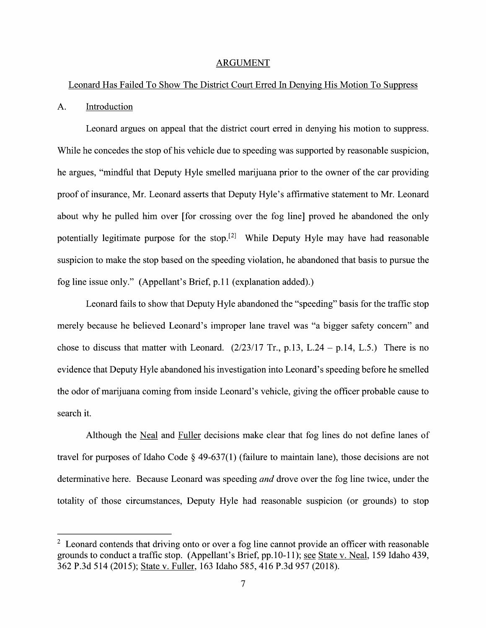#### ARGUMENT

## Leonard Has Failed T0 Show The District Court Erred In Denying His Motion To Suppress

## A. Introduction

Leonard argues on appeal that the district court erred in denying his motion to suppress. While he concedes the stop of his vehicle due to speeding was supported by reasonable suspicion, he argues, "mindful that Deputy Hyle smelled marijuana prior to the owner of the car providing proof 0f insurance, Mr. Leonard asserts that Deputy Hyle's affirmative statement to Mr. Leonard about Why he pulled him over [for crossing over the fog line] proved he abandoned the only potentially legitimate purpose for the stop.<sup>[2]</sup> While Deputy Hyle may have had reasonable suspicion to make the stop based on the speeding violation, he abandoned that basis to pursue the fog line issue only." (Appellant's Brief, p.11 (explanation added).)

Leonard fails to show that Deputy Hyle abandoned the "speeding" basis for the traffic stop merely because he believed Leonard's improper lane travel was "a bigger safety concern" and chose to discuss that matter with Leonard.  $(2/23/17 \text{ Tr.}, p.13, L.24 - p.14, L.5.)$  There is no evidence that Deputy Hyle abandoned his investigation into Leonard's speeding before he smelled the odor of marijuana coming from inside Leonard's vehicle, giving the officer probable cause t0 search it.

Although the Neal and Fuller decisions make clear that fog lines do not define lanes of travel for purposes of Idaho Code § 49-637(1) (failure to maintain lane), those decisions are not determinative here. Because Leonard was speeding *and* drove over the fog line twice, under the totality of those circumstances, Deputy Hyle had reasonable suspicion (or grounds) to stop

 $2$  Leonard contends that driving onto or over a fog line cannot provide an officer with reasonable grounds to conduct a traffic stop. (Appellant's Brief, pp.10-11); see State v. Neal, 159 Idaho 439, 362 P.3d 514 (2015); State V. Fuller, 163 Idaho 585, 416 P.3d 957 (2018).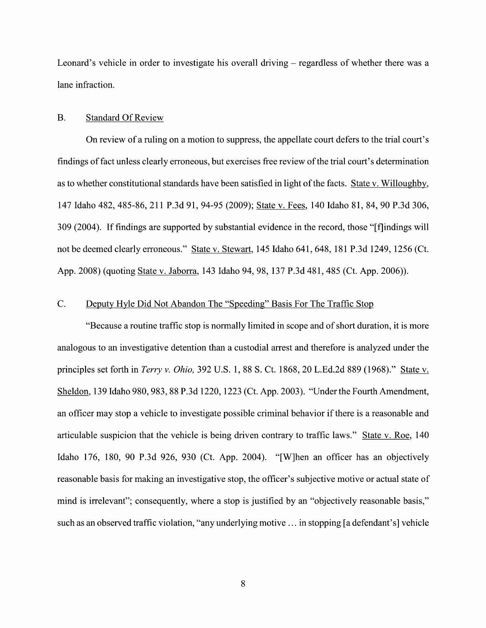Leonard's vehicle in order to investigate his overall driving  $-$  regardless of whether there was a lane infraction.

## B. Standard Of Review

On review of a ruling on a motion to suppress, the appellate court defers to the trial court's findings of fact unless clearly erroneous, but exercises free review of the trial court's determination as to whether constitutional standards have been satisfied in light of the facts. State v. Willoughby, 147 Idaho 482, 485-86, 211 P.3d 91, 94-95 (2009); State V. Fees, 140 Idaho 81, 84, 90 P.3d 306, 309 (2004). If findings are supported by substantial evidence in the record, those "[f]indings will not be deemed clearly erroneous." State v. Stewart, 145 Idaho 641, 648, 181 P.3d 1249, 1256 (Ct. App. 2008) (quoting State v. Jaborra, 143 Idaho 94, 98, 137 P.3d 481, 485 (Ct. App. 2006)).

## C. Deputy Hvle Did Not Abandon The "Speeding" Basis For The Traffic Stop

"Because a routine traffic stop is normally limited in scope and of short duration, it is more analogous to an investigative detention than a custodial arrest and therefore is analyzed under the principles set forth in *Terry v. Ohio*, 392 U.S. 1, 88 S. Ct. 1868, 20 L.Ed.2d 889 (1968)." State v. Sheldon, 139 Idaho 980, 983, 88 P.3d 1220, 1223 (Ct. App. 2003). "Under the Fourth Amendment, an officer may stop a vehicle to investigate possible criminal behavior if there is a reasonable and articulable suspicion that the vehicle is being driven contrary to traffic laws." State v. Roe, 140 Idaho 176, 180, <sup>90</sup> P.3d 926, <sup>930</sup> (Ct. App. 2004). "[W]hen an officer has an objectively reasonable basis for making an investigative stop, the officer's subjective motive or actual state of mind is irrelevant"; consequently, where a stop is justified by an "objectively reasonable basis," such as an observed traffic violation, "any underlying motive ... in stopping [a defendant's] vehicle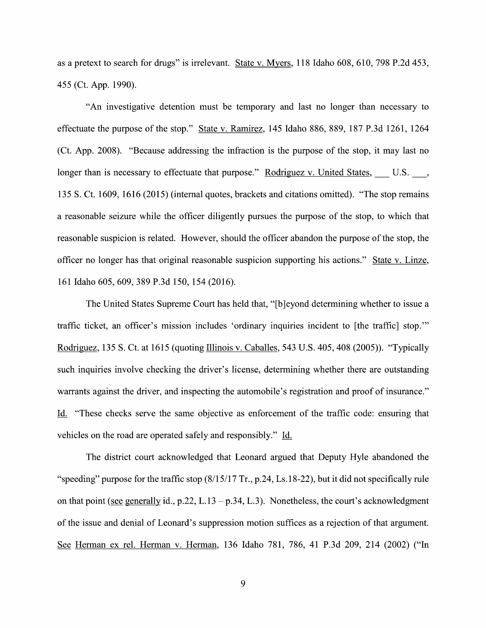as a pretext to search for drugs" is irrelevant. State v. Myers, 118 Idaho 608, 610, 798 P.2d 453, 455 (Ct. App. 1990).

"An investigative detention must be temporary and last no longer than necessary t0 effectuate the purpose 0f the stop." State V. Ramirez, 145 Idaho 886, 889, 187 P.3d 1261, 1264 (Ct. App. 2008). "Because addressing the infraction is the purpose of the stop, it may last n0 longer than is necessary to effectuate that purpose." Rodriguez v. United States, U.S. \_\_\_, 135 S. Ct. 1609, 1616 (2015) (internal quotes, brackets and citations omitted). "The stop remains a reasonable seizure while the officer diligently pursues the purpose of the stop, to which that reasonable suspicion is related. However, should the officer abandon the purpose of the stop, the officer n0 longer has that original reasonable suspicion supporting his actions." State V. Linze, 161 Idaho 605, 609, 389 P.3d 150, 154 (2016).

The United States Supreme Court has held that, "[b]eyond determining whether to issue a traffic ticket, an officer's mission includes 'ordinary inquiries incident to [the traffic] stop."" Rodriguez, 135 S. Ct. at 1615 (quoting Illinois v. Caballes, 543 U.S. 405, 408 (2005)). "Typically such inquiries involve checking the driver's license, determining Whether there are outstanding warrants against the driver, and inspecting the automobile's registration and proof of insurance." Li. "These checks serve the same objective as enforcement of the traffic code: ensuring that vehicles on the road are operated safely and responsibly." Id.

The district court acknowledged that Leonard argued that Deputy Hyle abandoned the "speeding" purpose for the traffic stop  $(8/15/17 \text{ Tr}., p.24, Ls.18-22)$ , but it did not specifically rule on that point (see generally id., p.22, L.13 – p.34, L.3). Nonetheless, the court's acknowledgment 0f the issue and denial 0f Leonard's suppression motion suffices as rejection of that argument. See Herman ex rel. Herman v. Herman, 136 Idaho 781, 786, 41 P.3d 209, 214 (2002) ("In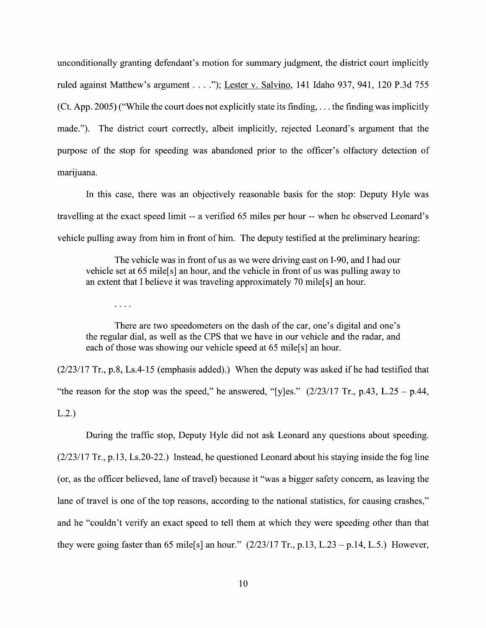unconditionally granting defendant's motion for summary judgment, the district court implicitly<br>ruled against Matthew's argument . . . ."); Lester v. Salvino, 141 Idaho 937, 941, 120 P.3d 755 (Ct. App. 2005) ("While the court does not explicitly state its finding, . . . the finding was implicitly made."). The district court correctly, albeit implicitly, rejected Leonard's argument that the purpose of the stop for speeding was abandoned prior to the officer's olfactory detection of marijuana.

In this case, there was an objectively reasonable basis for the stop: Deputy Hyle was travelling at the exact speed limit -- a verified 65 miles per hour -- when he observed Leonard's vehicle pulling away from him in front of him. The deputy testified at the preliminary hearing:

The vehicle was in front of us as we were driving east on I-90, and I had our vehicle set at 65 mile[s] an hour, and the vehicle in front of us was pulling away to an extent that I believe it was traveling approximately 70 mile<sup>[s]</sup> an hour.

 $\sim$   $\sim$   $\sim$   $\sim$ 

There are two speedometers on the dash of the car, one's digital and one's the regular dial, as well as the CPS that we have in our vehicle and the radar, and each of those was showing our vehicle speed at 65 mile<sup>[s]</sup> an hour.

 $(2/23/17 \text{ Tr}$ , p.8, Ls.4-15 (emphasis added).) When the deputy was asked if he had testified that "the reason for the stop was the speed," he answered, "[y]es."  $(2/23/17 \text{ Tr}$ , p.43, L.25 – p.44, L.2.)

During the traffic stop, Deputy Hyle did not ask Leonard any questions about speeding. (2/23/17 Tr., p.13, Ls.20-22.) Instead, he questioned Leonard about his staying inside the fog line (0r, as the officer believed, lane of travel) because it"was bigger safety concern, as leaving the lane of travel is one of the top reasons, according to the national statistics, for causing crashes," and he "couldn't verify an exact speed to tell them at which they were speeding other than that they were going faster than 65 mile[s] an hour."  $(2/23/17 \text{ Tr.}, p.13, L.23 - p.14, L.5)$  However,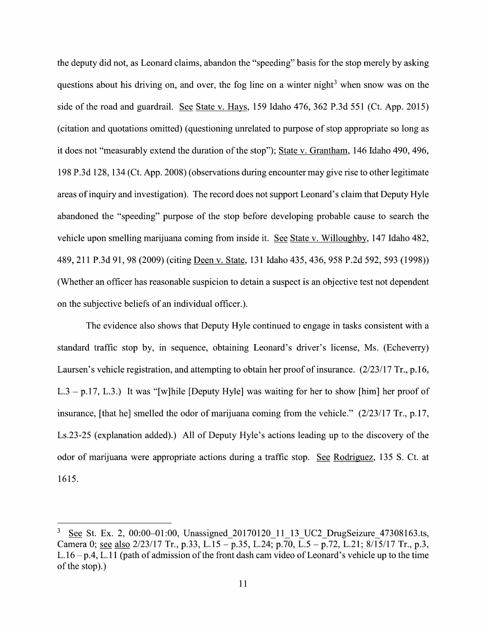the deputy did not, as Leonard claims, abandon the "speeding" basis for the stop merely by asking questions about his driving on, and over, the fog line on a winter night<sup>3</sup> when snow was on the side of the road and guardrail. See State v. Hays, 159 Idaho 476, 362 P.3d 551 (Ct. App. 2015) (citation and quotations omitted) (questioning unrelated t0 purpose 0f stop appropriate so long as it does not "measurably extend the duration 0f the stop"); State V. Grantham, 146 Idaho 490, 496, 198 P.3d 128, 134 (Ct. App. 2008) (observations during encounter may give rise to other legitimate areas 0f inquiry and investigation). The record does not support Leonard's claim that Deputy Hyle abandoned the "speeding" purpose of the stop before developing probable cause to search the vehicle upon smelling marijuana coming from inside it. See State v. Willoughby, 147 Idaho 482, 489, 211 P.3d 91, 98 (2009) (citing Deen V. State, 131 Idaho 435, 436, 958 P.2d 592, 593 (1998)) (Whether an officer has reasonable suspicion to detain a suspect is an objective test not dependent<br>on the subjective beliefs of an individual officer.).

The evidence also shows that Deputy Hyle continued to engage in tasks consistent with a standard traffic stop by, in sequence, obtaining Leonard's driver's license, Ms. (Echeverry) Laursen's vehicle registration, and attempting to obtain her proof of insurance.  $(2/23/17 \text{ Tr}$ , p.16, L.3 – p.17, L.3.) It was "[w]hile [Deputy Hyle] was waiting for her to show [him] her proof of insurance, [that he] smelled the odor of marijuana coming from the vehicle." (2/23/17 Tr., p.17, Ls.23-25 (explanation added).) A11 0f Deputy Hyle's actions leading up t0 the discovery 0f the odor of marijuana were appropriate actions during a traffic stop. See Rodriguez, 135 S. Ct. at 1615.

<sup>3</sup> See St. Ex. 2, 00:00–01:00, Unassigned 20170120 11 13 UC2 DrugSeizure 47308163.ts, Camera 0; see also 2/23/17 Tr., p.33, L.15 - p.35, L.24; p.70, L.5 - p.72, L.21; 8/15/17 Tr., p.3,  $L.16 - p.4$ , L.11 (path of admission of the front dash cam video of Leonard's vehicle up to the time 0f the stop).)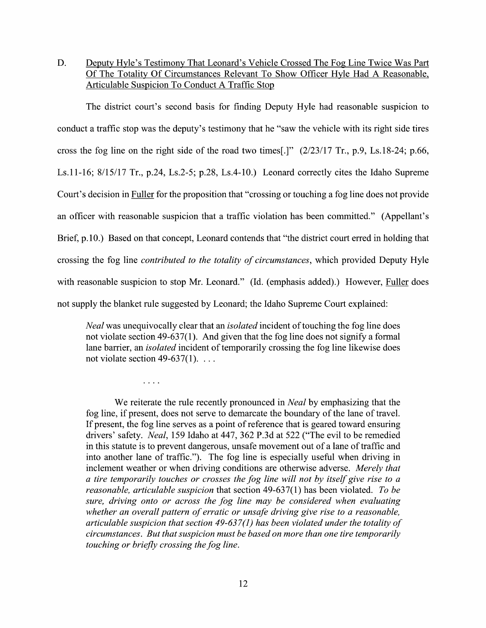D. Deputy Hyle's Testimony That Leonard's Vehicle Crossed The Fog Line Twice Was Part Of The Totality Of Circumstances Relevant To Show Officer Hyle Had A Reasonable, Articulable Suspicion To Conduct A Traffic Stop

The district court's second basis for finding Deputy Hyle had reasonable suspicion to conduct a traffic stop was the deputy's testimony that he "saw the vehicle with its right side tires cross the fog line on the right side of the road two times[.]" (2/23/17 Tr., p.9, Ls.18-24; p.66, Ls.11-16; 8/15/17 Tr., p.24, Ls.2-5; p.28, Ls.4-10.) Leonard correctly cites the Idaho Supreme Court's decision in **Fuller** for the proposition that "crossing or touching a fog line does not provide<br>an officer with reasonable suspicion that a traffic violation has been committed." (Appellant's Brief, p.10.) Based on that concept, Leonard contends that "the district court erred in holding that crossing the fog line *contributed to the totality of circumstances*, which provided Deputy Hyle with reasonable suspicion to stop Mr. Leonard." (Id. (emphasis added).) However, Fuller does not supply the blanket rule suggested by Leonard; the Idaho Supreme Court explained:

Neal was unequivocally clear that an *isolated* incident of touching the fog line does not violate section  $49-637(1)$ . And given that the fog line does not signify a formal lane barrier, an *isolated* incident of temporarily crossing the fog line likewise does not violate section 49-637(1).  $\dots$ 

 $\ldots$  .

We reiterate the rule recently pronounced in *Neal* by emphasizing that the fog line, if present, does not serve to demarcate the boundary of the lane of travel. If present, the fog line serves as point of reference that is geared toward ensuring drivers' safety. Neal, 159 Idaho at 447, 362 P.3d at 522 ("The evil to be remedied in this statute is to prevent dangerous, unsafe movement out of a lane of traffic and into another lane 0f traffic."). The fog line is especially useful when driving in inclement weather or when driving conditions are otherwise adverse. Merely that a tire temporarily touches or crosses the fog line will not by itself give rise to a reasonable, articulable suspicion that section  $49-637(1)$  has been violated. To be sure, driving onto or across the fog line may be considered when evaluating whether an overall pattern of erratic or unsafe driving give rise to a reasonable, articulable suspicion that section 49-637(1) has been violated under the totality of circumstances. But that suspicion must be based 0n more than one tire temporarily touching or briefly crossing the fog line.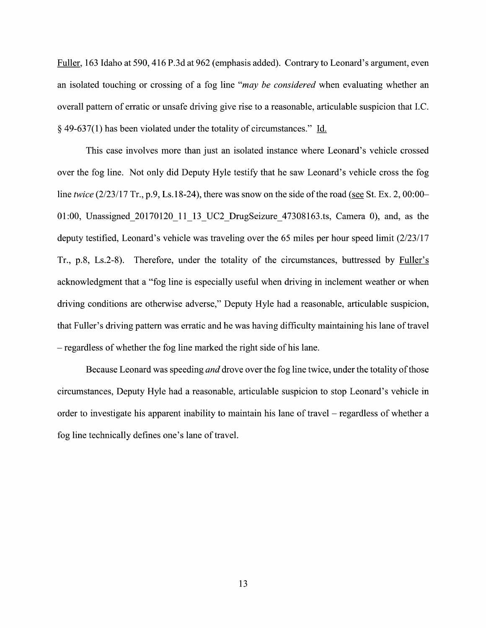Fuller, 163 Idaho at 590, 416 P.3d at 962 (emphasis added). Contrary to Leonard's argument, even an isolated touching or crossing of a fog line "may be considered when evaluating whether an overall pattern of erratic or unsafe driving give rise to a reasonable, articulable suspicion that I.C. 49-637(1) has been violated under the totality of circumstances." Li.

This case involves more than just an isolated instance Where Leonard's vehicle crossed over the fog line. Not only did Deputy Hyle testify that he saw Leonard's vehicle cross the fog line twice  $(2/23/17 \text{ Tr}$ , p.9, Ls. 18-24), there was snow on the side of the road (see St. Ex. 2, 00:00– 01:00, Unassigned 20170120 11 13 UC2 DrugSeizure 47308163.ts, Camera 0), and, as the deputy testified, Leonard's vehicle was traveling over the 65 miles per hour speed limit (2/23/17 Tr., p.8, Ls.2-8). Therefore, under the totality of the circumstances, buttressed by acknowledgment that a "fog line is especially useful when driving in inclement weather or when driving conditions are otherwise adverse," Deputy Hyle had a reasonable, articulable suspicion, that Fuller's driving pattern was erratic and he was having difficulty maintaining his lane of travel - regardless of whether the fog line marked the right side of his lane.

Because Leonard was speeding *and* drove over the fog line twice, under the totality of those circumstances, Deputy Hyle had a reasonable, articulable suspicion to stop Leonard's vehicle in order to investigate his apparent inability to maintain his lane of travel  $-$  regardless of whether a fog line technically defines one's lane 0f travel.